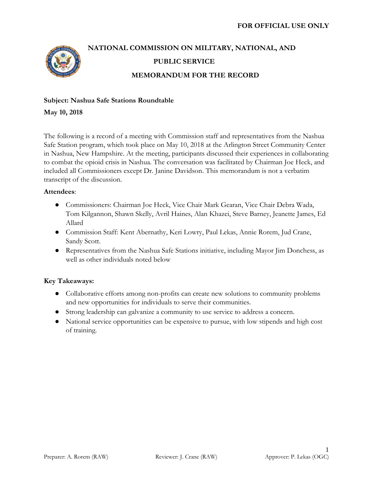

# **NATIONAL COMMISSION ON MILITARY, NATIONAL, AND PUBLIC SERVICE MEMORANDUM FOR THE RECORD**

# **Subject: Nashua Safe Stations Roundtable**

**May 10, 2018**

The following is a record of a meeting with Commission staff and representatives from the Nashua Safe Station program, which took place on May 10, 2018 at the Arlington Street Community Center in Nashua, New Hampshire. At the meeting, participants discussed their experiences in collaborating to combat the opioid crisis in Nashua. The conversation was facilitated by Chairman Joe Heck, and included all Commissioners except Dr. Janine Davidson. This memorandum is not a verbatim transcript of the discussion.

# **Attendees**:

- Commissioners: Chairman Joe Heck, Vice Chair Mark Gearan, Vice Chair Debra Wada, Tom Kilgannon, Shawn Skelly, Avril Haines, Alan Khazei, Steve Barney, Jeanette James, Ed Allard
- Commission Staff: Kent Abernathy, Keri Lowry, Paul Lekas, Annie Rorem, Jud Crane, Sandy Scott.
- Representatives from the Nashua Safe Stations initiative, including Mayor Jim Donchess, as well as other individuals noted below

# **Key Takeaways:**

- Collaborative efforts among non-profits can create new solutions to community problems and new opportunities for individuals to serve their communities.
- Strong leadership can galvanize a community to use service to address a concern.
- National service opportunities can be expensive to pursue, with low stipends and high cost of training.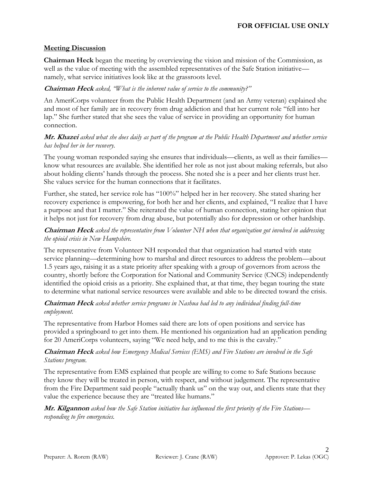# **Meeting Discussion**

**Chairman Heck** began the meeting by overviewing the vision and mission of the Commission, as well as the value of meeting with the assembled representatives of the Safe Station initiative namely, what service initiatives look like at the grassroots level.

#### **Chairman Heck** *asked, "What is the inherent value of service to the community?"*

An AmeriCorps volunteer from the Public Health Department (and an Army veteran) explained she and most of her family are in recovery from drug addiction and that her current role "fell into her lap." She further stated that she sees the value of service in providing an opportunity for human connection.

#### **Mr. Khazei** *asked what she does daily as part of the program at the Public Health Department and whether service has helped her in her recovery.*

The young woman responded saying she ensures that individuals—clients, as well as their families know what resources are available. She identified her role as not just about making referrals, but also about holding clients' hands through the process. She noted she is a peer and her clients trust her. She values service for the human connections that it facilitates.

Further, she stated, her service role has "100%" helped her in her recovery. She stated sharing her recovery experience is empowering, for both her and her clients, and explained, "I realize that I have a purpose and that I matter." She reiterated the value of human connection, stating her opinion that it helps not just for recovery from drug abuse, but potentially also for depression or other hardship.

# **Chairman Heck** *asked the representative from Volunteer NH when that organization got involved in addressing the opioid crisis in New Hampshire.*

The representative from Volunteer NH responded that that organization had started with state service planning—determining how to marshal and direct resources to address the problem—about 1.5 years ago, raising it as a state priority after speaking with a group of governors from across the country, shortly before the Corporation for National and Community Service (CNCS) independently identified the opioid crisis as a priority. She explained that, at that time, they began touring the state to determine what national service resources were available and able to be directed toward the crisis.

#### **Chairman Heck** *asked whether service programs in Nashua had led to any individual finding full-time employment.*

The representative from Harbor Homes said there are lots of open positions and service has provided a springboard to get into them. He mentioned his organization had an application pending for 20 AmeriCorps volunteers, saying "We need help, and to me this is the cavalry."

# **Chairman Heck** *asked how Emergency Medical Services (EMS) and Fire Stations are involved in the Safe Stations program.*

The representative from EMS explained that people are willing to come to Safe Stations because they know they will be treated in person, with respect, and without judgement. The representative from the Fire Department said people "actually thank us" on the way out, and clients state that they value the experience because they are "treated like humans."

**Mr. Kilgannon** *asked how the Safe Station initiative has influenced the first priority of the Fire Stations responding to fire emergencies.*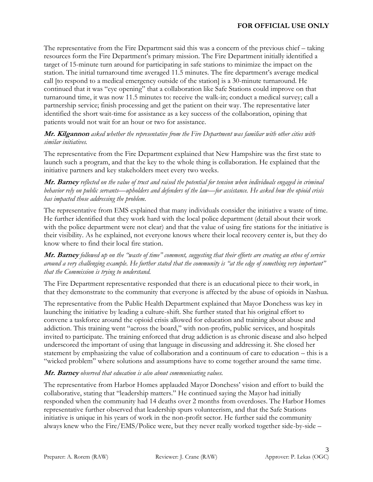The representative from the Fire Department said this was a concern of the previous chief – taking resources form the Fire Department's primary mission. The Fire Department initially identified a target of 15-minute turn around for participating in safe stations to minimize the impact on the station. The initial turnaround time averaged 11.5 minutes. The fire department's average medical call [to respond to a medical emergency outside of the station] is a 30-minute turnaround. He continued that it was "eye opening" that a collaboration like Safe Stations could improve on that turnaround time, it was now 11.5 minutes to: receive the walk-in; conduct a medical survey; call a partnership service; finish processing and get the patient on their way. The representative later identified the short wait-time for assistance as a key success of the collaboration, opining that patients would not wait for an hour or two for assistance.

#### **Mr. Kilgannon** *asked whether the representative from the Fire Department was familiar with other cities with similar initiatives.*

The representative from the Fire Department explained that New Hampshire was the first state to launch such a program, and that the key to the whole thing is collaboration. He explained that the initiative partners and key stakeholders meet every two weeks.

**Mr. Barney** *reflected on the value of trust and raised the potential for tension when individuals engaged in criminal behavior rely on public servants—upholders and defenders of the law—for assistance. He asked how the opioid crisis has impacted those addressing the problem.*

The representative from EMS explained that many individuals consider the initiative a waste of time. He further identified that they work hard with the local police department (detail about their work with the police department were not clear) and that the value of using fire stations for the initiative is their visibility. As he explained, not everyone knows where their local recovery center is, but they do know where to find their local fire station.

**Mr. Barney** *followed up on the "waste of time" comment, suggesting that their efforts are creating an ethos of service around a very challenging example. He further stated that the community is "at the edge of something very important" that the Commission is trying to understand.*

The Fire Department representative responded that there is an educational piece to their work, in that they demonstrate to the community that everyone is affected by the abuse of opioids in Nashua.

The representative from the Public Health Department explained that Mayor Donchess was key in launching the initiative by leading a culture-shift. She further stated that his original effort to convene a taskforce around the opioid crisis allowed for education and training about abuse and addiction. This training went "across the board," with non-profits, public services, and hospitals invited to participate. The training enforced that drug addiction is as chronic disease and also helped underscored the important of using that language in discussing and addressing it. She closed her statement by emphasizing the value of collaboration and a continuum of care to education – this is a "wicked problem" where solutions and assumptions have to come together around the same time.

#### **Mr. Barney** *observed that education is also about communicating values.*

The representative from Harbor Homes applauded Mayor Donchess' vision and effort to build the collaborative, stating that "leadership matters." He continued saying the Mayor had initially responded when the community had 14 deaths over 2 months from overdoses. The Harbor Homes representative further observed that leadership spurs volunteerism, and that the Safe Stations initiative is unique in his years of work in the non-profit sector. He further said the community always knew who the Fire/EMS/Police were, but they never really worked together side-by-side –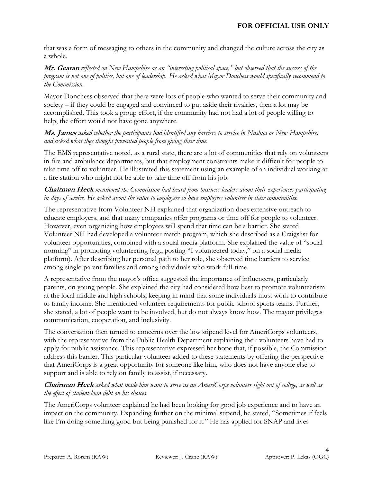that was a form of messaging to others in the community and changed the culture across the city as a whole.

#### **Mr. Gearan** *reflected on New Hampshire as an "interesting political space," but observed that the success of the program is not one of politics, but one of leadership. He asked what Mayor Donchess would specifically recommend to the Commission.*

Mayor Donchess observed that there were lots of people who wanted to serve their community and society – if they could be engaged and convinced to put aside their rivalries, then a lot may be accomplished. This took a group effort, if the community had not had a lot of people willing to help, the effort would not have gone anywhere.

#### **Ms. James** *asked whether the participants had identified any barriers to service in Nashua or New Hampshire, and asked what they thought prevented people from giving their time.*

The EMS representative noted, as a rural state, there are a lot of communities that rely on volunteers in fire and ambulance departments, but that employment constraints make it difficult for people to take time off to volunteer. He illustrated this statement using an example of an individual working at a fire station who might not be able to take time off from his job.

#### **Chairman Heck** *mentioned the Commission had heard from business leaders about their experiences participating in days of service. He asked about the value to employers to have employees volunteer in their communities.*

The representative from Volunteer NH explained that organization does extensive outreach to educate employers, and that many companies offer programs or time off for people to volunteer. However, even organizing how employees will spend that time can be a barrier. She stated Volunteer NH had developed a volunteer match program, which she described as a Craigslist for volunteer opportunities, combined with a social media platform. She explained the value of "social norming" in promoting volunteering (e.g., posting "I volunteered today," on a social media platform). After describing her personal path to her role, she observed time barriers to service among single-parent families and among individuals who work full-time.

A representative from the mayor's office suggested the importance of influencers, particularly parents, on young people. She explained the city had considered how best to promote volunteerism at the local middle and high schools, keeping in mind that some individuals must work to contribute to family income. She mentioned volunteer requirements for public school sports teams. Further, she stated, a lot of people want to be involved, but do not always know how. The mayor privileges communication, cooperation, and inclusivity.

The conversation then turned to concerns over the low stipend level for AmeriCorps volunteers, with the representative from the Public Health Department explaining their volunteers have had to apply for public assistance. This representative expressed her hope that, if possible, the Commission address this barrier. This particular volunteer added to these statements by offering the perspective that AmeriCorps is a great opportunity for someone like him, who does not have anyone else to support and is able to rely on family to assist, if necessary.

#### **Chairman Heck** *asked what made him want to serve as an AmeriCorps volunteer right out of college, as well as the effect of student loan debt on his choices.*

The AmeriCorps volunteer explained he had been looking for good job experience and to have an impact on the community. Expanding further on the minimal stipend, he stated, "Sometimes if feels like I'm doing something good but being punished for it." He has applied for SNAP and lives